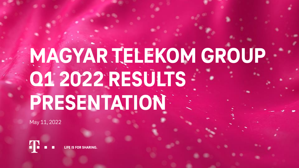# **MAGYAR TELEKOM GROUP Q1 2022 RESULTS PRESENTATION**

May 11, 2022

**FOR SHARING.**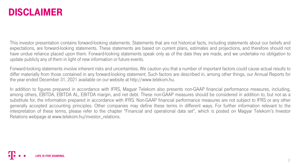### **DISCLAIMER**

This investor presentation contains forward-looking statements. Statements that are not historical facts, including statements about our beliefs and expectations, are forward-looking statements. These statements are based on current plans, estimates and projections, and therefore should not have undue reliance placed upon them. Forward-looking statements speak only as of the date they are made, and we undertake no obligation to update publicly any of them in light of new information or future events.

Forward-looking statements involve inherent risks and uncertainties. We caution you that a number of important factors could cause actual results to differ materially from those contained in any forward-looking statement. Such factors are described in, among other things, our Annual Reports for the year ended December 31, 2021 available on our website at http://www.telekom.hu.

In addition to figures prepared in accordance with IFRS, Magyar Telekom also presents non-GAAP financial performance measures, including, among others, EBITDA, EBITDA AL, EBITDA margin, and net debt. These non-GAAP measures should be considered in addition to, but not as a substitute for, the information prepared in accordance with IFRS. Non-GAAP financial performance measures are not subject to IFRS or any other generally accepted accounting principles. Other companies may define these terms in different ways. For further information relevant to the interpretation of these terms, please refer to the chapter "Financial and operational data set", which is posted on Magyar Telekom's Investor Relations webpage at www.telekom.hu/investor relations.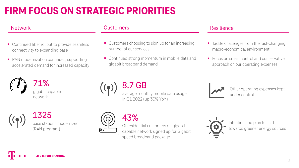## **FIRM FOCUS ON STRATEGIC PRIORITIES**

- Continued fiber rollout to provide seamless connectivity to expanding base
- RAN modernization continues, supporting accelerated demand for increased capacity



71% gigabit capable network

1325 base stations modernized (RAN program)

### Network **Customers** Customers **Resilience**

- Customers choosing to sign up for an increasing number of our services
- Continued strong momentum in mobile data and gigabit broadband demand

- Tackle challenges from the fast-changing macro-economical environment
- Focus on smart control and conservative approach on our operating expenses





Other operating expenses kept under control



### 43%

Of residential customers on gigabit capable network signed up for Gigabit speed broadband package



Intention and plan to shift towards greener energy sources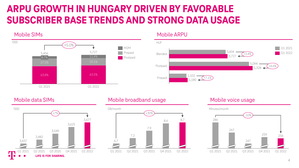## **ARPU GROWTH IN HUNGARY DRIVEN BY FAVORABLE SUBSCRIBER BASE TRENDS AND STRONG DATA USAGE**



### Mobile SIMs and the Contract of the Mobile ARPU





### Mobile data SIMs Mobile broadband usage and Mobile voice usage mobile voice usage



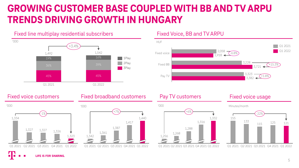## **GROWING CUSTOMER BASE COUPLED WITH BB AND TV ARPU TRENDS DRIVING GROWTH IN HUNGARY**







**LIFE IS FOR SHARING.** 

### Fixed voice customers **Fixed broadband customers** Pay TV customers **Property** Fixed voice usage



### 1,268 Q1 2021 Q2 2021 Q3 2021 Q4 2021 Q1 2022 1,288 1,256 1,316 1,332 +6%

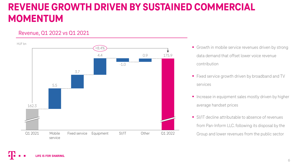## **REVENUE GROWTH DRIVEN BY SUSTAINED COMMERCIAL MOMENTUM**

### Revenue, Q1 2022 vs Q1 2021



- Growth in mobile service revenues driven by strong data demand that offset lower voice revenue contribution
- Fixed service growth driven by broadband and TV services
- **•** Increase in equipment sales mostly driven by higher average handset prices
- SI/IT decline attributable to absence of revenues from Pan-Inform LLC. following its disposal by the Group and lower revenues from the public sector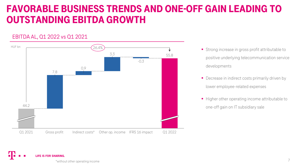## FAVORABLE BUSINESS TRENDS AND ONE-OFF GAIN LEADING TO OUTSTANDING EBITDA GROWTH

### EBITDA AL, Q1 2022 vs Q1 2021



- positive underlying telecommunication service developments
- **•** Decrease in indirect costs primarily driven by lower employee-related expenses
- Higher other operating income attributable to one-off gain on IT subsidiary sale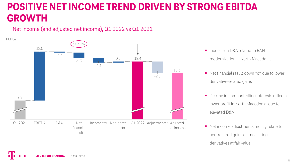## **POSITIVE NET INCOME TREND DRIVEN BY STRONG EBITDA GROWTH**

### Net income (and adjusted net income), Q1 2022 vs Q1 2021



- **Increase in D&A related to RAN** modernization in North Macedonia
- Net financial result down YoY due to lower derivative-related gains
- Decline in non-controlling interests reflects lower profit in North Macedonia, due to elevated D&A
- Net income adjustments mostly relate to non-realized gains on measuring derivatives at fair value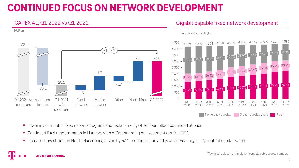## **CONTINUED FOCUS ON NETWORK DEVELOPMENT**





- Lower investment in fixed network upgrade and replacement, while fiber rollout continued at pace
- Continued RAN modernization in Hungary with different timing of investments vs Q1 2021
- Increased investment in North Macedonia, driven by RAN modernization and year-on-year higher TV content capitalization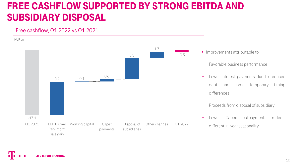## FREE CASHFLOW SUPPORTED BY STRONG EBITDA AND SUBSIDIARY DISPOSAL

### Free cashflow, Q1 2022 vs Q1 2021

HUF bn



- **·** Improvements attributable to
- − Favorable business performance
- − Lower interest payments due to reduced debt and some temporary timing differences
- − Proceeds from disposal of subsidiary
- − Lower Capex outpayments reflects different in-year seasonality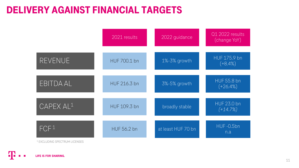## DELIVERY AGAINST FINANCIAL TARGETS

|                       | 2021 results        | 2022 guidance      | Q1 2022 results<br>(change YoY)  |
|-----------------------|---------------------|--------------------|----------------------------------|
| <b>REVENUE</b>        | HUF 700.1 bn        | 1%-3% growth       | HUF 175.9 bn<br>$(+8.4%)$        |
| EBITDA AL             | <b>HUF 216.3 bn</b> | 3%-5% growth       | <b>HUF 55.8 bn</b><br>$(+26.4%)$ |
| CAPEX AL <sup>1</sup> | HUF 109.3 bn        | broadly stable     | <b>HUF 23.0 bn</b><br>$(+14.7%)$ |
| FCF <sup>1</sup>      | <b>HUF 56.2 bn</b>  | at least HUF 70 bn | <b>HUF-0.5bn</b><br>n.a          |

<sup>1</sup> EXCLUDING SPECTRUM LICENSES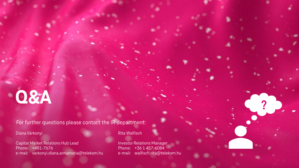# **Q&A**

For further questions please contact the IR department:

Diana Várkonyi

Capital Market Relations Hub Lead Phone: +481-7676 e-mail: varkonyi.diana.annamaria@telekom.hu Rita Walfisch

Investor Relations Manager Phone: +36 1 457-6084 e-mail: walfisch.rita@telekom.hu ?